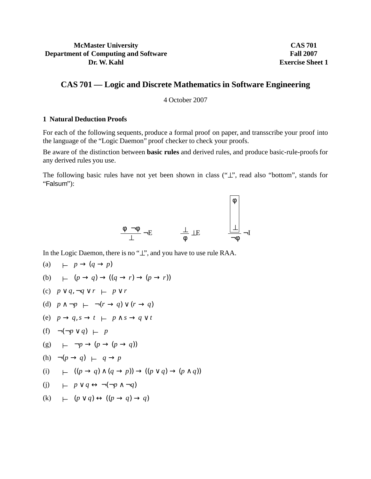# **McMaster University Department of Computing and Software Dr. W. Kahl**

**CAS 701 Fall 2007 Exercise Sheet 1**

# **CAS 701 — Logic and Discrete Mathematics in Software Engineering**

4 October 2007

## **1 Natural Deduction Proofs**

For each of the following sequents, produce a formal proof on paper, and transscribe your proof into the language of the "Logic Daemon" proof checker to check your proofs.

Be aware of the distinction between **basic rules** and derived rules, and produce basic-rule-proofs for any derived rules you use.

The following basic rules have not yet been shown in class ("⊥", read also "bottom", stands for "Falsum"):



In the Logic Daemon, there is no "⊥", and you have to use rule RAA.

(a)  $\vdash p \rightarrow (q \rightarrow p)$ (b)  $\vdash$   $(p \rightarrow q) \rightarrow ((q \rightarrow r) \rightarrow (p \rightarrow r))$ (c)  $p \lor q, \neg q \lor r$  ⊢  $p \lor r$ (d)  $p \land \neg p \leftarrow \neg (r \rightarrow q) \lor (r \rightarrow q)$ (e)  $p \rightarrow q, s \rightarrow t \ \vdash \ p \land s \rightarrow q \lor t$ (f) ¬(¬*p* ∨ *q*) ⊥ *p* (g) <sup>⊥</sup> ¬*p* → (*p* → (*p* → *q*)) (h)  $\neg(p \rightarrow q) \vdash q \rightarrow p$ (i)  $\vdash$   $((p \rightarrow q) \land (q \rightarrow p)) \rightarrow ((p \lor q) \rightarrow (p \land q))$ (j) <sup>⊥</sup> *p* ∨ *q* ↔ ¬(¬*p* ∧ ¬*q*)  $(k)$   $\mapsto$   $(p \vee q) \leftrightarrow ((p \rightarrow q) \rightarrow q)$